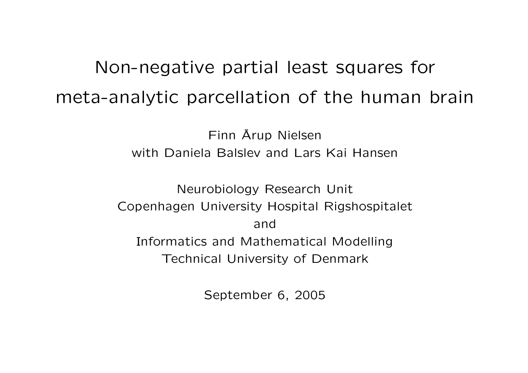# Non-negative partial least squares for meta-analytic parcellation of the human brain

Finn Å Arup Nielsen with Daniela Balslev and Lars Kai Hansen

Neurobiology Research Unit Copenhagen University Hospital Rigshospitalet and Informatics and Mathematical Modelling Technical University of Denmark

September 6, 2005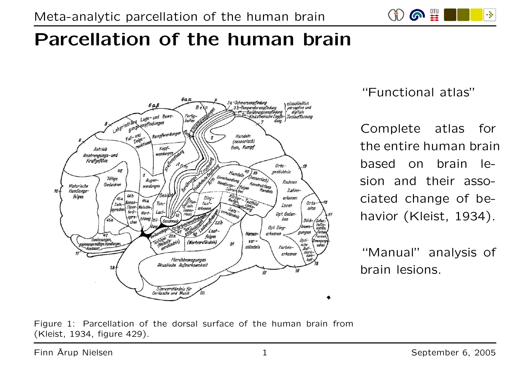$CD$   $\bullet$   $\mathbb{H}$ -34

# Parcellation of the human brain



"Functional atlas"

Complete atlas for the entire human brain based on brain lesion and their associated change of behavior (Kleist, 1934).

"Manual" analysis of brain lesions.

Figure 1: Parcellation of the dorsal surface of the human brain from (Kleist, 1934, figure 429).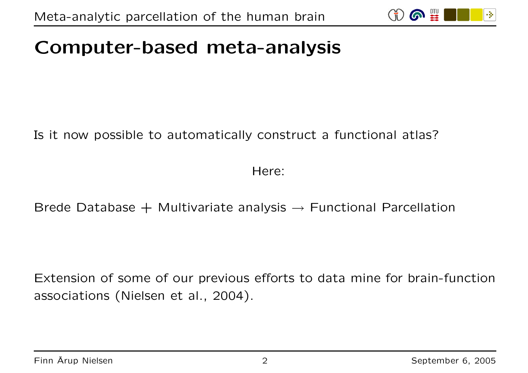

## Computer-based meta-analysis

Is it now possible to automatically construct <sup>a</sup> functional atlas?

Here:

Brede Database  $+$  Multivariate analysis  $\rightarrow$  Functional Parcellation

Extension of some of our previous efforts to data mine for brain-function associations (Nielsen et al., 2004).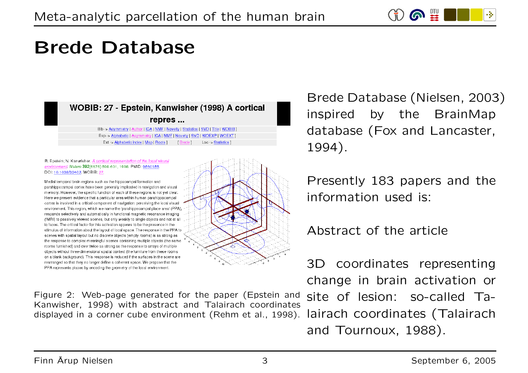

#### Brede Database



#### R. Epstein: N. Kanwisher. A cortical representation of the local visual environment. Nature 392(6676):598-601, 1998. PMID: 9560155 DOI: 10.1038/33402, WOBIB: 27.

Medial temporal brain regions such as the hippocarnpal formation and parahippocampal cortex have been generally implicated in navigation and visual memory. However, the specific function of each of these regions is not yet clear. Here we present evidence that a particular area within human parahippocampal cortex is involved in a critical component of navigation: perceiving the local visual environment. This region, which we name the 'parahippocampal place area' (PPA), responds selectively and automatically in functional magnetic resonance imaging (fMRI) to passively viewed scenes, but only weakly to single objects and not at all to faces. The critical factor for this activation appears to be the presence in the stimulus of information about the layout of local space. The response in the PPA to scenes with spatial layout but no discrete objects (empty rooms) is as strong as the response to complex meaningful scenes containing multiple objects (the same rooms furnished) and over twice as strong as the response to arrays of multiple objects without three-dimensional spatial context (the furniture from these rooms on a blank background). This response is reduced if the surfaces in the scene are rearranged so that they no longer define a coherent space. We propose that the PPA represents places by encoding the geometry of the local environment.



Brede Database (Nielsen, 2003) inspired by the BrainMap database (Fox and Lancaster, 1994).

Presently 183 papers and the information used is:

Abstract of the article

3D coordinates representing change in brain activation or

Figure 2: Web-page generated for the paper (Epstein and site of lesion: so-called Ta-Kanwisher, 1998) with abstract and Talairach coordinates displayed in <sup>a</sup> corner cube environment (Rehm et al., 1998).

lairach coordinates (Talairach and Tournoux, 1988).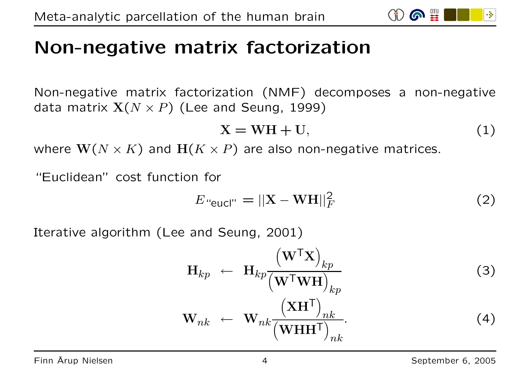## Non-negative matrix factorization

Non-negative matrix factorization (NMF) decomposes <sup>a</sup> non-negative data matrix  $X(N \times P)$  (Lee and Seung, 1999)

$$
X = WH + U,\t(1)
$$

where  $\mathbf{W}(N \times K)$  and  $\mathbf{H}(K \times P)$  are also non-negative matrices.

"Euclidean" cost function for

$$
E_{\text{``eucl''}} = ||\mathbf{X} - \mathbf{W}\mathbf{H}||_F^2 \tag{2}
$$

Iterative algorithm (Lee and Seung, 2001)

$$
\mathbf{H}_{kp} \leftarrow \mathbf{H}_{kp} \frac{\left(\mathbf{W}^{\mathsf{T}}\mathbf{X}\right)_{kp}}{\left(\mathbf{W}^{\mathsf{T}}\mathbf{W}\mathbf{H}\right)_{kp}} \tag{3}
$$
\n
$$
\mathbf{W}_{nk} \leftarrow \mathbf{W}_{nk} \frac{\left(\mathbf{X}\mathbf{H}^{\mathsf{T}}\right)_{nk}}{\left(\mathbf{W}\mathbf{H}\mathbf{H}^{\mathsf{T}}\right)_{nk}} \tag{4}
$$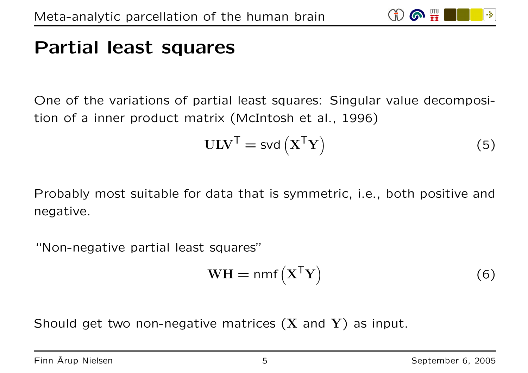#### Partial least squares

One of the variations of partial least squares: Singular value decomposition of <sup>a</sup> inner product matrix (McIntosh et al., 1996)

$$
ULVT = svd(XTY)
$$
 (5)

**61 III** 

Probably most suitable for data that is symmetric, i.e., both positive and negative.

"Non-negative partial least squares"

$$
WH = nmf(XTY)
$$
 (6)

Should get two non-negative matrices  $(X \text{ and } Y)$  as input.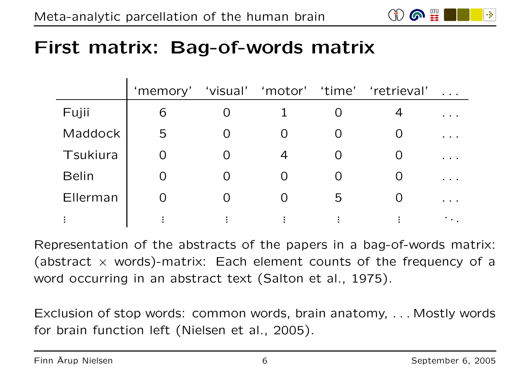

## First matrix: Bag-of-words matrix

|              | 'memory' |          |                |          | 'visual' 'motor' 'time' 'retrieval' |                                                                                             |
|--------------|----------|----------|----------------|----------|-------------------------------------|---------------------------------------------------------------------------------------------|
| Fujii        | 6        |          |                |          |                                     | .                                                                                           |
| Maddock      | 5        |          |                | $\Omega$ |                                     |                                                                                             |
| Tsukiura     |          |          | $\overline{4}$ |          |                                     | $\begin{array}{cccccccccccccc} \bullet & \bullet & \bullet & \bullet & \bullet \end{array}$ |
| <b>Belin</b> |          | $\Omega$ |                |          |                                     | .                                                                                           |
| Ellerman     |          |          |                | 5        |                                     | .                                                                                           |
|              |          |          |                | ٠        |                                     |                                                                                             |

Representation of the abstracts of the papers in <sup>a</sup> bag-of-words matrix: (abstract  $\times$  words)-matrix: Each element counts of the frequency of a word occurring in an abstract text (Salton et al., 1975).

Exclusion of stop words: common words, brain anatomy, . . . Mostly words for brain function left (Nielsen et al., 2005).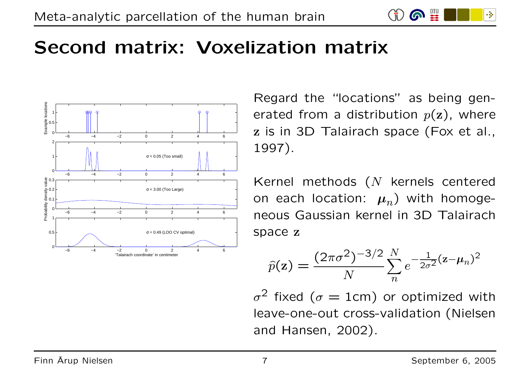

## Second matrix: Voxelization matrix



Regard the "locations" as being generated from a distribution  $p(z)$ , where <sup>z</sup> is in 3D Talairach space (Fox et al., 1997).

Kernel methods (N kernels centered on each location:  $\mu_n$ ) with homogeneous Gaussian kernel in 3D Talairach space <sup>z</sup>

$$
\hat{p}(\mathbf{z}) = \frac{(2\pi\sigma^2)^{-3/2}}{N} \sum_{n=0}^{N} e^{-\frac{1}{2\sigma^2}(\mathbf{z} - \boldsymbol{\mu}_n)^2}
$$

 $\sigma^2$  fixed ( $\sigma = 1$ cm) or optimized with leave-one-out cross-validation (Nielsen and Hansen, 2002).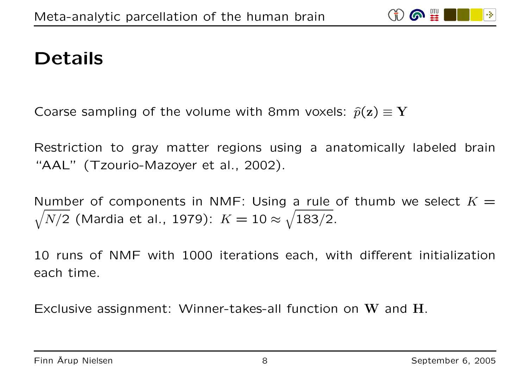

## Details

Coarse sampling of the volume with 8mm voxels:  $\hat{p}(\mathbf{z}) \equiv \mathbf{Y}$ 

Restriction to gray matter regions using <sup>a</sup> anatomically labeled brain "AAL" (Tzourio-Mazoyer et al., 2002).

Number of components in NMF: Using a rule of thumb we select  $K=\,$  $\sqrt{N/2}$  (Mardia et al., 1979):  $K = 10 \approx \sqrt{183/2}.$ 

10 runs of NMF with 1000 iterations each, with different initialization each time.

Exclusive assignment: Winner-takes-all function on W and H.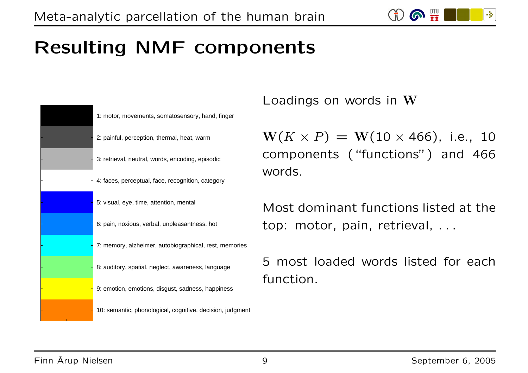-34

# Resulting NMF components



Loadings on words in W

 $W(K \times P) = W(10 \times 466)$ , i.e., 10 components ("functions") and 466 words.

Most dominant functions listed at the top: motor, pain, retrieval, . . .

5 most loaded words listed for each function.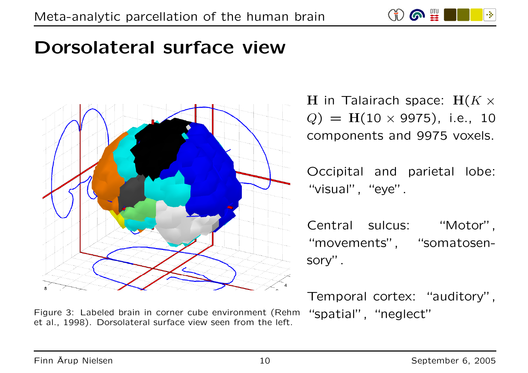

#### Dorsolateral surface view



Figure 3: Labeled brain in corner cube environment (Rehm et al., 1998). Dorsolateral surface view seen from the left.

H in Talairach space:  $H(K \times$  $Q$ ) = H(10  $\times$  9975), i.e., 10 components and 9975 voxels.

Occipital and parietal lobe: "visual", "eye".

Central sulcus: "Motor", "movements", "somatosensory".

Temporal cortex: "auditory", "spatial", "neglect"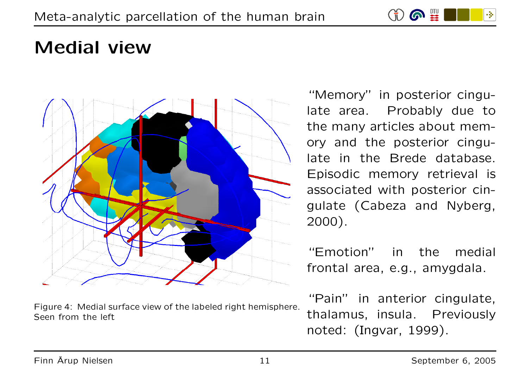

#### Medial view



Figure 4: Medial surface view of the labeled right hemisphere. Seen from the left

"Memory" in posterior cingulate area. Probably due to the many articles about memory and the posterior cingulate in the Brede database. Episodic memory retrieval is associated with posterior cingulate (Cabeza and Nyberg, 2000).

"Emotion" in the medial frontal area, e.g., amygdala.

"Pain" in anterior cingulate, thalamus, insula. Previously noted: (Ingvar, 1999).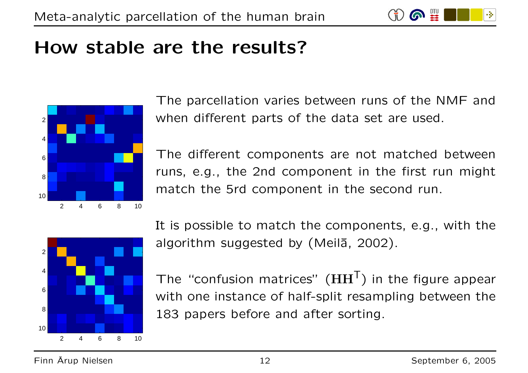

#### How stable are the results?



The parcellation varies between runs of the NMF and when different parts of the data set are used.

The different components are not matched between runs, e.g., the 2nd component in the first run might match the 5rd component in the second run.



It is possible to match the components, e.g., with the algorithm suggested by (Meila, 2002).

The "confusion matrices"  $(HH<sup>T</sup>)$  in the figure appear with one instance of half-split resampling between the 183 papers before and after sorting.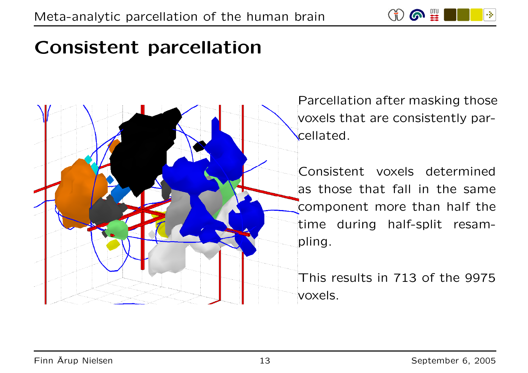

# Consistent parcellation



Parcellation after masking those voxels that are consistently parcellated.

Consistent voxels determined as those that fall in the same component more than half the time during half-split resampling.

This results in 713 of the 9975 voxels.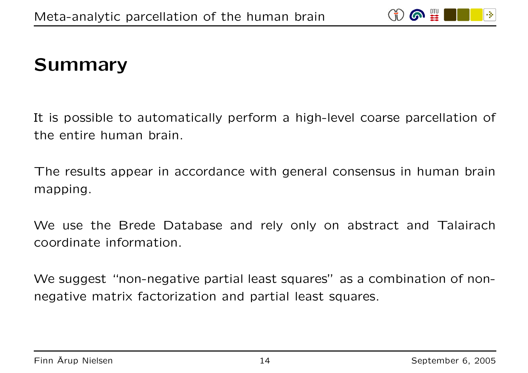

#### Summary

It is possible to automatically perform <sup>a</sup> high-level coarse parcellation of the entire human brain.

The results appear in accordance with general consensus in human brain mapping.

We use the Brede Database and rely only on abstract and Talairach coordinate information.

We suggest "non-negative partial least squares" as <sup>a</sup> combination of nonnegative matrix factorization and partial least squares.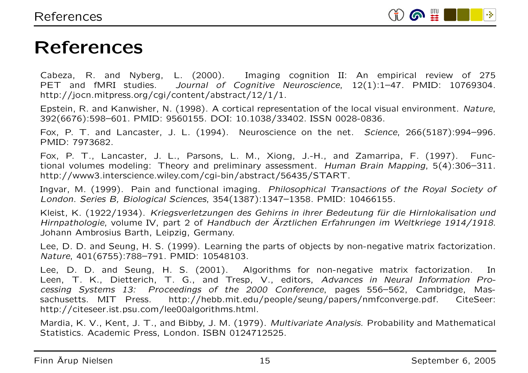

#### References

Cabeza, R. and Nyberg, L. (2000). Imaging cognition II: An empirical review of 275 PET and fMRI studies. Journal of Cognitive Neuroscience, 12(1):1-47. PMID: 10769304. http://jocn.mitpress.org/cgi/content/abstract/12/1/1.

Epstein, R. and Kanwisher, N. (1998). A cortical representation of the local visual environment. Nature, 392(6676):598–601. PMID: 9560155. DOI: 10.1038/33402. ISSN 0028-0836.

Fox, P. T. and Lancaster, J. L. (1994). Neuroscience on the net. Science, 266(5187):994-996. PMID: 7973682.

Fox, P. T., Lancaster, J. L., Parsons, L. M., Xiong, J.-H., and Zamarripa, F. (1997). Functional volumes modeling: Theory and preliminary assessment. Human Brain Mapping, 5(4):306–311. http://www3.interscience.wiley.com/cgi-bin/abstract/56435/START.

Ingvar, M. (1999). Pain and functional imaging. Philosophical Transactions of the Royal Society of London. Series B, Biological Sciences, 354(1387):1347–1358. PMID: 10466155.

Kleist, K. (1922/1934). Kriegsverletzungen des Gehirns in ihrer Bedeutung für die Hirnlokalisation und Hirnpathologie, volume IV, part 2 of Handbuch der Ärztlichen Arztlichen Erfahrungen im Weltkriege 1914/1918. Johann Ambrosius Barth, Leipzig, Germany.

Lee, D. D. and Seung, H. S. (1999). Learning the parts of objects by non-negative matrix factorization. Nature, 401(6755):788–791. PMID: 10548103.

Lee, D. D. and Seung, H. S. (2001). Algorithms for non-negative matrix factorization. In Leen, T. K., Dietterich, T. G., and Tresp, V., editors, Advances in Neural Information Processing Systems 13: Proceedings of the 2000 Conference, pages 556–562, Cambridge, Massachusetts. MIT Press. http://hebb.mit.edu/people/seung/papers/nmfconverge.pdf. CiteSeer: http://citeseer.ist.psu.com/lee00algorithms.html.

Mardia, K. V., Kent, J. T., and Bibby, J. M. (1979). Multivariate Analysis. Probability and Mathematical Statistics. Academic Press, London. ISBN 0124712525.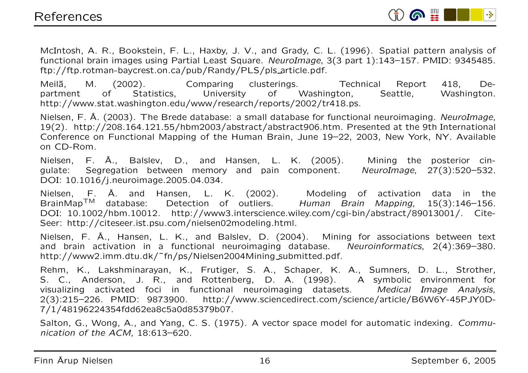

McIntosh, A. R., Bookstein, F. L., Haxby, J. V., and Grady, C. L. (1996). Spatial pattern analysis of functional brain images using Partial Least Square. NeuroImage, 3(3 part 1):143–157. PMID: 9345485. ftp://ftp.rotman-baycrest.on.ca/pub/Randy/PLS/pls article.pdf.

Meilā, M. (2002). Comparing clusterings. Technical Report 418, Department of Statistics, University of Washington, Seattle, Washington. http://www.stat.washington.edu/www/research/reports/2002/tr418.ps.

Nielsen, F. Å Å. (2003). The Brede database: a small database for functional neuroimaging. NeuroImage, 19(2). http://208.164.121.55/hbm2003/abstract/abstract906.htm. Presented at the 9th International Conference on Functional Mapping of the Human Brain, June 19–22, 2003, New York, NY. Available on CD-Rom.

Nielsen, F. Å A., Balslev, D., and Hansen, L. K. (2005). Mining the posterior cingulate: Segregation between memory and pain component. NeuroImage, 27(3):520–532. DOI: 10.1016/j.neuroimage.2005.04.034.

Nielsen, F. Å A. and Hansen, L. K. (2002). Modeling of activation data in the BrainMap<sup>™</sup> database: Detection of outliers. Human Brain Mapping, 15(3):146-156. DOI: 10.1002/hbm.10012. http://www3.interscience.wiley.com/cgi-bin/abstract/89013001/. Cite-Seer: http://citeseer.ist.psu.com/nielsen02modeling.html.

Nielsen, F. Å A., Hansen, L. K., and Balslev, D. (2004). Mining for associations between text and brain activation in <sup>a</sup> functional neuroimaging database. Neuroinformatics, 2(4):369–380. http://www2.imm.dtu.dk/~fn/ps/Nielsen2004Mining\_submitted.pdf.

Rehm, K., Lakshminarayan, K., Frutiger, S. A., Schaper, K. A., Sumners, D. L., Strother, S. C., Anderson, J. R., and Rottenberg, D. A. (1998). A symbolic environment for visualizing activated foci in functional neuroimaging datasets. Medical Image Analysis, 2(3):215–226. PMID: 9873900. http://www.sciencedirect.com/science/article/B6W6Y-45PJY0D-7/1/48196224354fdd62ea8c5a0d85379b07.

Salton, G., Wong, A., and Yang, C. S. (1975). A vector space model for automatic indexing. Communication of the ACM, 18:613–620.